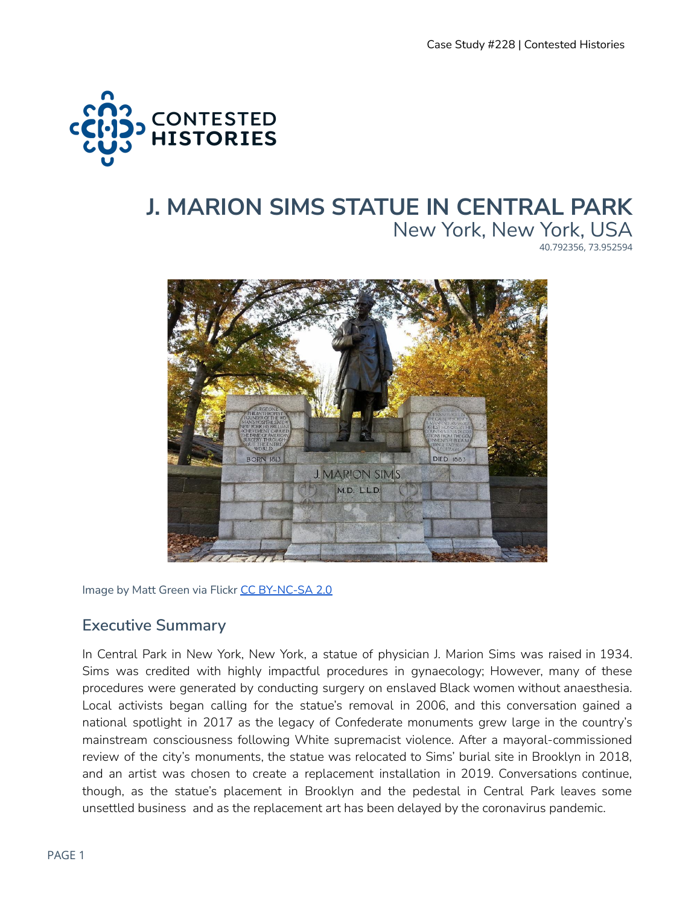

# **J. MARION SIMS STATUE IN CENTRAL PARK** New York, New York, USA 40.792356, 73.952594



Image by Matt Green via Flickr CC [BY-NC-SA](https://creativecommons.org/licenses/by-nc-sa/2.0/?ref=ccsearch&atype=rich) 2.0

### **Executive Summary**

In Central Park in New York, New York, a statue of physician J. Marion Sims was raised in 1934. Sims was credited with highly impactful procedures in gynaecology; However, many of these procedures were generated by conducting surgery on enslaved Black women without anaesthesia. Local activists began calling for the statue's removal in 2006, and this conversation gained a national spotlight in 2017 as the legacy of Confederate monuments grew large in the country's mainstream consciousness following White supremacist violence. After a mayoral-commissioned review of the city's monuments, the statue was relocated to Sims' burial site in Brooklyn in 2018, and an artist was chosen to create a replacement installation in 2019. Conversations continue, though, as the statue's placement in Brooklyn and the pedestal in Central Park leaves some unsettled business and as the replacement art has been delayed by the coronavirus pandemic.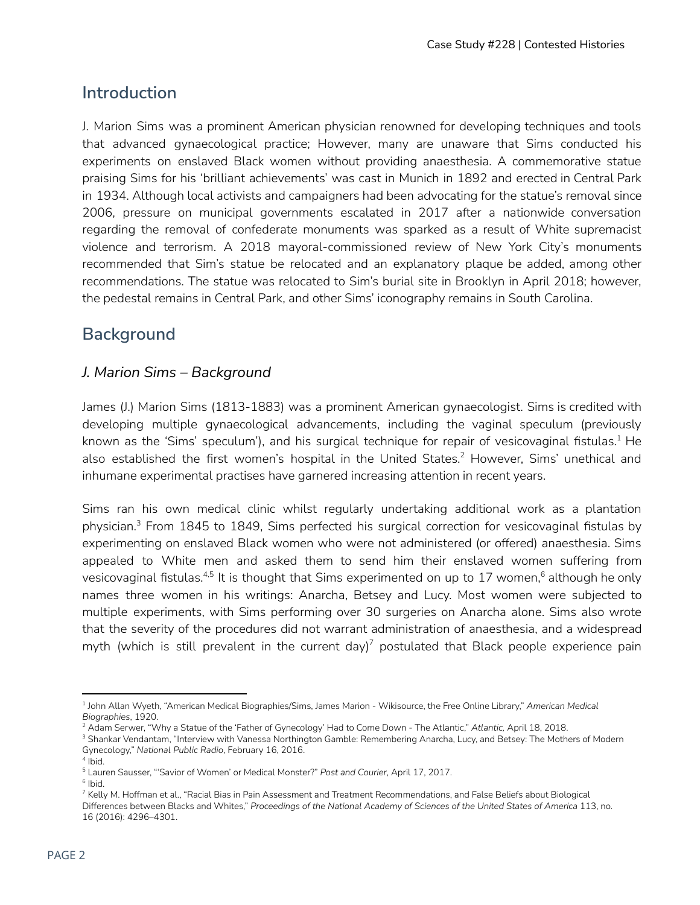# **Introduction**

J. Marion Sims was a prominent American physician renowned for developing techniques and tools that advanced gynaecological practice; However, many are unaware that Sims conducted his experiments on enslaved Black women without providing anaesthesia. A commemorative statue praising Sims for his 'brilliant achievements' was cast in Munich in 1892 and erected in Central Park in 1934. Although local activists and campaigners had been advocating for the statue's removal since 2006, pressure on municipal governments escalated in 2017 after a nationwide conversation regarding the removal of confederate monuments was sparked as a result of White supremacist violence and terrorism. A 2018 mayoral-commissioned review of New York City's monuments recommended that Sim's statue be relocated and an explanatory plaque be added, among other recommendations. The statue was relocated to Sim's burial site in Brooklyn in April 2018; however, the pedestal remains in Central Park, and other Sims' iconography remains in South Carolina.

# **Background**

#### *J. Marion Sims – Background*

James (J.) Marion Sims (1813-1883) was a prominent American gynaecologist. Sims is credited with developing multiple gynaecological advancements, including the vaginal speculum (previously known as the 'Sims' speculum'), and his surgical technique for repair of vesicovaginal fistulas. $^1$  He also established the first women's hospital in the United States.<sup>2</sup> However, Sims' unethical and inhumane experimental practises have garnered increasing attention in recent years.

Sims ran his own medical clinic whilst regularly undertaking additional work as a plantation physician.<sup>3</sup> From 1845 to 1849, Sims perfected his surgical correction for vesicovaginal fistulas by experimenting on enslaved Black women who were not administered (or offered) anaesthesia. Sims appealed to White men and asked them to send him their enslaved women suffering from vesicovaginal fistulas. $^{4,5}$  It is thought that Sims experimented on up to 17 women, $^6$  although he only names three women in his writings: Anarcha, Betsey and Lucy. Most women were subjected to multiple experiments, with Sims performing over 30 surgeries on Anarcha alone. Sims also wrote that the severity of the procedures did not warrant administration of anaesthesia, and a widespread myth (which is still prevalent in the current day)<sup>7</sup> postulated that Black people experience pain

<sup>1</sup> John Allan Wyeth, "American Medical Biographies/Sims, James Marion - Wikisource, the Free Online Library," *American Medical Biographies*, 1920.

<sup>&</sup>lt;sup>2</sup> Adam Serwer, "Why a Statue of the 'Father of Gynecology' Had to Come Down - The Atlantic," Atlantic, April 18, 2018.

<sup>&</sup>lt;sup>3</sup> Shankar Vendantam, "Interview with Vanessa Northington Gamble: Remembering Anarcha, Lucy, and Betsey: The Mothers of Modern Gynecology," *National Public Radio*, February 16, 2016.

<sup>4</sup> Ibid.

<sup>5</sup> Lauren Sausser, "'Savior of Women' or Medical Monster?" *Post and Courier*, April 17, 2017.

<sup>6</sup> Ibid.

<sup>&</sup>lt;sup>7</sup> Kelly M. Hoffman et al., "Racial Bias in Pain Assessment and Treatment Recommendations, and False Beliefs about Biological Differences between Blacks and Whites," *Proceedings of the National Academy of Sciences of the United States of America* 113, no. 16 (2016): 4296–4301.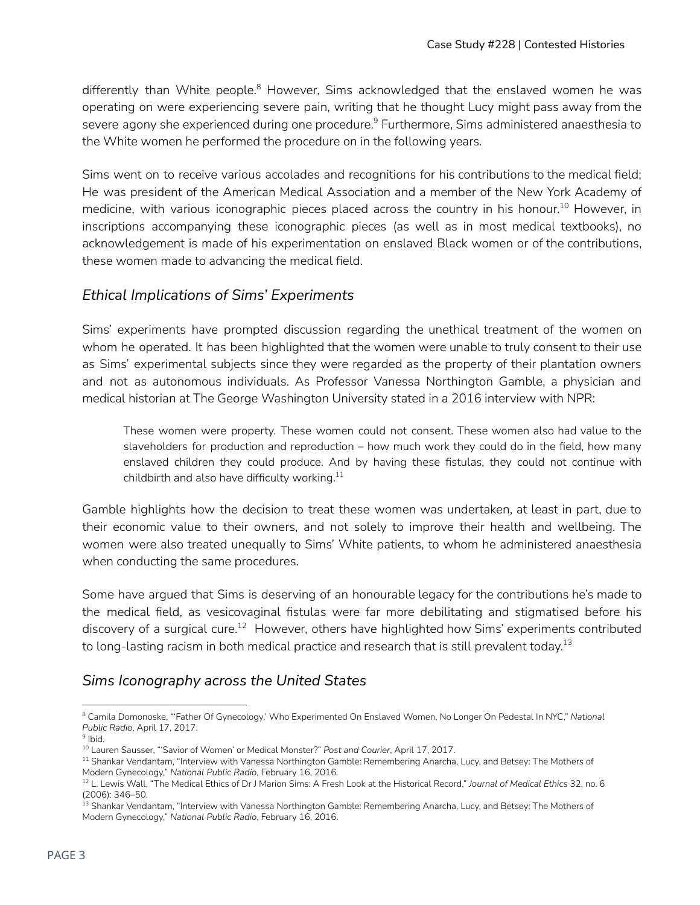differently than White people.<sup>8</sup> However, Sims acknowledged that the enslaved women he was operating on were experiencing severe pain, writing that he thought Lucy might pass away from the severe agony she experienced during one procedure. $^9$  Furthermore, Sims administered anaesthesia to the White women he performed the procedure on in the following years.

Sims went on to receive various accolades and recognitions for his contributions to the medical field; He was president of the American Medical Association and a member of the New York Academy of medicine, with various iconographic pieces placed across the country in his honour. $^{10}$  However, in inscriptions accompanying these iconographic pieces (as well as in most medical textbooks), no acknowledgement is made of his experimentation on enslaved Black women or of the contributions, these women made to advancing the medical field.

### *Ethical Implications of Sims' Experiments*

Sims' experiments have prompted discussion regarding the unethical treatment of the women on whom he operated. It has been highlighted that the women were unable to truly consent to their use as Sims' experimental subjects since they were regarded as the property of their plantation owners and not as autonomous individuals. As Professor Vanessa Northington Gamble, a physician and medical historian at The George Washington University stated in a 2016 interview with NPR:

These women were property. These women could not consent. These women also had value to the slaveholders for production and reproduction – how much work they could do in the field, how many enslaved children they could produce. And by having these fistulas, they could not continue with childbirth and also have difficulty working. $^{\rm 11}$ 

Gamble highlights how the decision to treat these women was undertaken, at least in part, due to their economic value to their owners, and not solely to improve their health and wellbeing. The women were also treated unequally to Sims' White patients, to whom he administered anaesthesia when conducting the same procedures.

Some have argued that Sims is deserving of an honourable legacy for the contributions he's made to the medical field, as vesicovaginal fistulas were far more debilitating and stigmatised before his discovery of a surgical cure.<sup>12</sup> However, others have highlighted how Sims' experiments contributed to long-lasting racism in both medical practice and research that is still prevalent today. $^{\rm 13}$ 

#### *Sims Iconography across the United States*

<sup>8</sup> Camila Domonoske, "'Father Of Gynecology,' Who Experimented On Enslaved Women, No Longer On Pedestal In NYC," *National Public Radio*, April 17, 2017.

<sup>&</sup>lt;sup>9</sup> Ibid.

<sup>10</sup> Lauren Sausser, "'Savior of Women' or Medical Monster?" *Post and Courier*, April 17, 2017.

<sup>&</sup>lt;sup>11</sup> Shankar Vendantam, "Interview with Vanessa Northington Gamble: Remembering Anarcha, Lucy, and Betsey: The Mothers of Modern Gynecology," *National Public Radio*, February 16, 2016.

<sup>12</sup> L. Lewis Wall, "The Medical Ethics of Dr J Marion Sims: A Fresh Look at the Historical Record," *Journal of Medical Ethics* 32, no. 6 (2006): 346–50.

<sup>&</sup>lt;sup>13</sup> Shankar Vendantam, "Interview with Vanessa Northington Gamble: Remembering Anarcha, Lucy, and Betsey: The Mothers of Modern Gynecology," *National Public Radio*, February 16, 2016.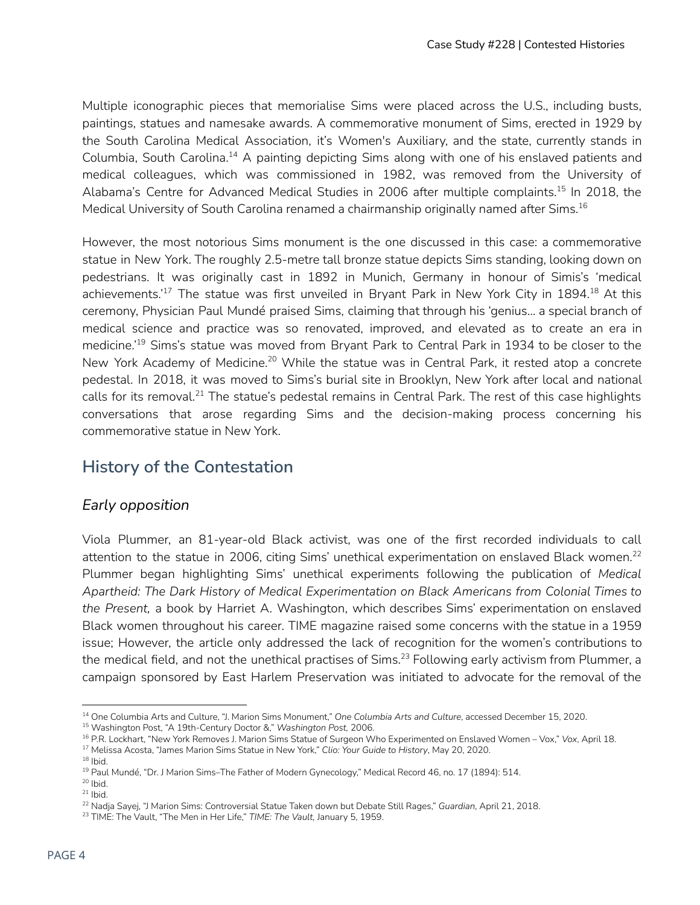Multiple iconographic pieces that memorialise Sims were placed across the U.S., including busts, paintings, statues and namesake awards. A commemorative monument of Sims, erected in 1929 by the South Carolina Medical Association, it's Women's Auxiliary, and the state, currently stands in Columbia, South Carolina.<sup>14</sup> A painting depicting Sims along with one of his enslaved patients and medical colleagues, which was commissioned in 1982, was removed from the University of Alabama's Centre for Advanced Medical Studies in 2006 after multiple complaints.<sup>15</sup> In 2018, the Medical University of South Carolina renamed a chairmanship originally named after Sims. 16

However, the most notorious Sims monument is the one discussed in this case: a commemorative statue in New York. The roughly 2.5-metre tall bronze statue depicts Sims standing, looking down on pedestrians. It was originally cast in 1892 in Munich, Germany in honour of Simis's 'medical achievements.' $^{17}$  The statue was first unveiled in Bryant Park in New York City in 1894. $^{18}$  At this ceremony, Physician Paul Mundé praised Sims, claiming that through his 'genius… a special branch of medical science and practice was so renovated, improved, and elevated as to create an era in medicine.<sup>'19</sup> Sims's statue was moved from Bryant Park to Central Park in 1934 to be closer to the New York Academy of Medicine.<sup>20</sup> While the statue was in Central Park, it rested atop a concrete pedestal. In 2018, it was moved to Sims's burial site in Brooklyn, New York after local and national calls for its removal. $^{21}$  The statue's pedestal remains in Central Park. The rest of this case highlights conversations that arose regarding Sims and the decision-making process concerning his commemorative statue in New York.

# **History of the Contestation**

#### *Early opposition*

Viola Plummer, an 81-year-old Black activist, was one of the first recorded individuals to call attention to the statue in 2006, citing Sims' unethical experimentation on enslaved Black women.<sup>22</sup> Plummer began highlighting Sims' unethical experiments following the publication of *Medical Apartheid: The Dark History of Medical Experimentation on Black Americans from Colonial Times to the Present,* a book by Harriet A. Washington, which describes Sims' experimentation on enslaved Black women throughout his career. TIME magazine raised some concerns with the statue in a 1959 issue; However, the article only addressed the lack of recognition for the women's contributions to the medical field, and not the unethical practises of Sims. $^{23}$  Following early activism from Plummer, a campaign sponsored by East Harlem Preservation was initiated to advocate for the removal of the

<sup>14</sup> One Columbia Arts and Culture, "J. Marion Sims Monument," *One Columbia Arts and Culture*, accessed December 15, 2020.

<sup>15</sup> Washington Post, "A 19th-Century Doctor &," *Washington Post,* 2006.

<sup>16</sup> P.R. Lockhart, "New York Removes J. Marion Sims Statue of Surgeon Who Experimented on Enslaved Women – Vox," *Vox*, April 18.

 $18$  lbid. <sup>17</sup> Melissa Acosta, "James Marion Sims Statue in New York," *Clio: Your Guide to History*, May 20, 2020.

<sup>19</sup> Paul Mundé, "Dr. J Marion Sims–The Father of Modern Gynecology," Medical Record 46, no. 17 (1894): 514.

 $20$  Ibid.

 $21$  lbid.

<sup>22</sup> Nadja Sayej, "J Marion Sims: Controversial Statue Taken down but Debate Still Rages," *Guardian*, April 21, 2018.

<sup>23</sup> TIME: The Vault, "The Men in Her Life," *TIME: The Vault,* January 5, 1959.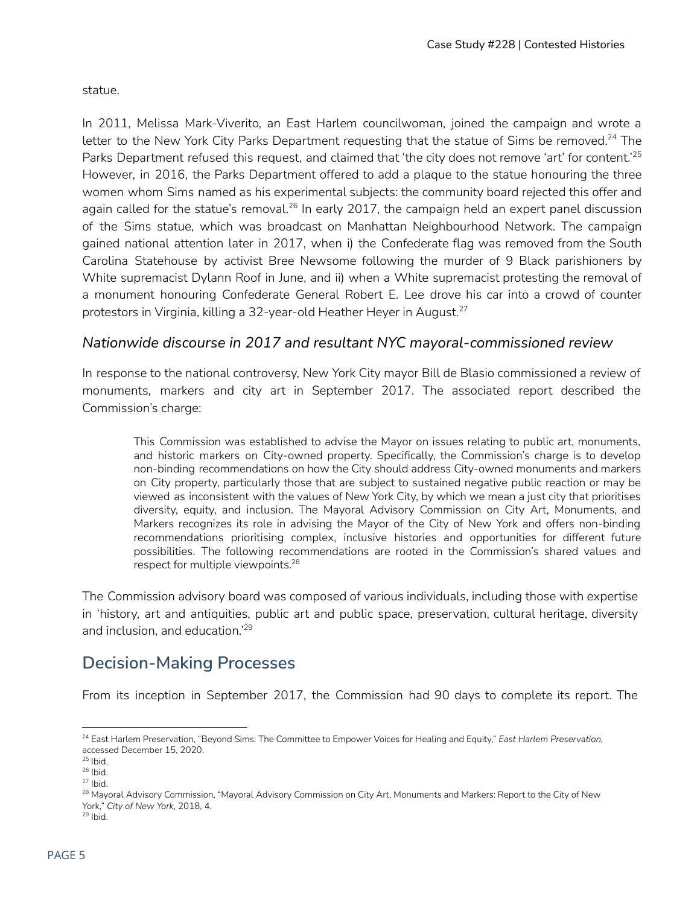statue.

In 2011, Melissa Mark-Viverito, an East Harlem councilwoman, joined the campaign and wrote a letter to the New York City Parks Department requesting that the statue of Sims be removed.<sup>24</sup> The Parks Department refused this request, and claimed that 'the city does not remove 'art' for content.' 25 However, in 2016, the Parks Department offered to add a plaque to the statue honouring the three women whom Sims named as his experimental subjects: the community board rejected this offer and again called for the statue's removal.<sup>26</sup> In early 2017, the campaign held an expert panel discussion of the Sims statue, which was broadcast on Manhattan Neighbourhood Network. The campaign gained national attention later in 2017, when i) the Confederate flag was removed from the South Carolina Statehouse by activist Bree Newsome following the murder of 9 Black parishioners by White supremacist Dylann Roof in June, and ii) when a White supremacist protesting the removal of a monument honouring Confederate General Robert E. Lee drove his car into a crowd of counter protestors in Virginia, killing a 32-year-old Heather Heyer in August. 27

#### *Nationwide discourse in 2017 and resultant NYC mayoral-commissioned review*

In response to the national controversy, New York City mayor Bill de Blasio commissioned a review of monuments, markers and city art in September 2017. The associated report described the Commission's charge:

This Commission was established to advise the Mayor on issues relating to public art, monuments, and historic markers on City-owned property. Specifically, the Commission's charge is to develop non-binding recommendations on how the City should address City-owned monuments and markers on City property, particularly those that are subject to sustained negative public reaction or may be viewed as inconsistent with the values of New York City, by which we mean a just city that prioritises diversity, equity, and inclusion. The Mayoral Advisory Commission on City Art, Monuments, and Markers recognizes its role in advising the Mayor of the City of New York and offers non-binding recommendations prioritising complex, inclusive histories and opportunities for different future possibilities. The following recommendations are rooted in the Commission's shared values and respect for multiple viewpoints. 28

The Commission advisory board was composed of various individuals, including those with expertise in 'history, art and antiquities, public art and public space, preservation, cultural heritage, diversity and inclusion, and education.' 29

# **Decision-Making Processes**

From its inception in September 2017, the Commission had 90 days to complete its report. The

 $29$  lbid.

<sup>24</sup> East Harlem Preservation, "Beyond Sims: The Committee to Empower Voices for Healing and Equity," *East Harlem Preservation,* accessed December 15, 2020.

 $25$  lbid.

<sup>26</sup> Ibid.

 $27$  Ibid.

<sup>&</sup>lt;sup>28</sup> Mayoral Advisory Commission, "Mayoral Advisory Commission on City Art, Monuments and Markers: Report to the City of New York," *City of New York*, 2018, 4.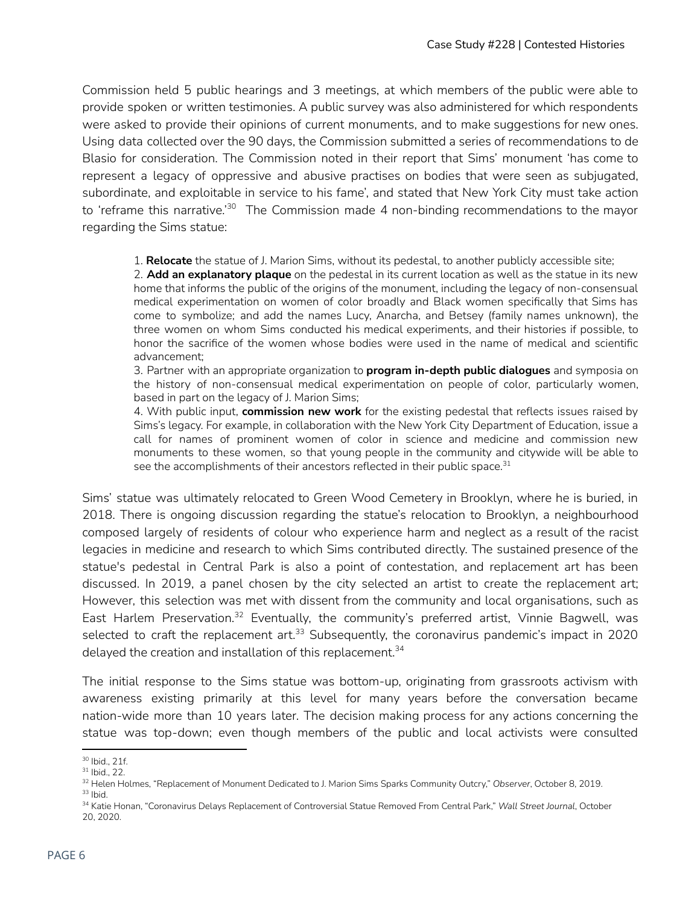Commission held 5 public hearings and 3 meetings, at which members of the public were able to provide spoken or written testimonies. A public survey was also administered for which respondents were asked to provide their opinions of current monuments, and to make suggestions for new ones. Using data collected over the 90 days, the Commission submitted a series of recommendations to de Blasio for consideration. The Commission noted in their report that Sims' monument 'has come to represent a legacy of oppressive and abusive practises on bodies that were seen as subjugated, subordinate, and exploitable in service to his fame', and stated that New York City must take action to 'reframe this narrative.'<sup>30</sup> The Commission made 4 non-binding recommendations to the mayor regarding the Sims statue:

1. **Relocate** the statue of J. Marion Sims, without its pedestal, to another publicly accessible site;

2. **Add an explanatory plaque** on the pedestal in its current location as well as the statue in its new home that informs the public of the origins of the monument, including the legacy of non-consensual medical experimentation on women of color broadly and Black women specifically that Sims has come to symbolize; and add the names Lucy, Anarcha, and Betsey (family names unknown), the three women on whom Sims conducted his medical experiments, and their histories if possible, to honor the sacrifice of the women whose bodies were used in the name of medical and scientific advancement;

3. Partner with an appropriate organization to **program in-depth public dialogues** and symposia on the history of non-consensual medical experimentation on people of color, particularly women, based in part on the legacy of J. Marion Sims;

4. With public input, **commission new work** for the existing pedestal that reflects issues raised by Sims's legacy. For example, in collaboration with the New York City Department of Education, issue a call for names of prominent women of color in science and medicine and commission new monuments to these women, so that young people in the community and citywide will be able to see the accomplishments of their ancestors reflected in their public space. $^{\rm 31}$ 

Sims' statue was ultimately relocated to Green Wood Cemetery in Brooklyn, where he is buried, in 2018. There is ongoing discussion regarding the statue's relocation to Brooklyn, a neighbourhood composed largely of residents of colour who experience harm and neglect as a result of the racist legacies in medicine and research to which Sims contributed directly. The sustained presence of the statue's pedestal in Central Park is also a point of contestation, and replacement art has been discussed. In 2019, a panel chosen by the city selected an artist to create the replacement art; However, this selection was met with dissent from the community and local organisations, such as East Harlem Preservation.<sup>32</sup> Eventually, the community's preferred artist, Vinnie Bagwell, was selected to craft the replacement art. $^{33}$  Subsequently, the coronavirus pandemic's impact in 2020 delayed the creation and installation of this replacement. 34

The initial response to the Sims statue was bottom-up, originating from grassroots activism with awareness existing primarily at this level for many years before the conversation became nation-wide more than 10 years later. The decision making process for any actions concerning the statue was top-down; even though members of the public and local activists were consulted

<sup>30</sup> Ibid., 21f.

<sup>31</sup> Ibid., 22.

 $33$  lbid. <sup>32</sup> Helen Holmes, "Replacement of Monument Dedicated to J. Marion Sims Sparks Community Outcry," *Observer*, October 8, 2019.

<sup>34</sup> Katie Honan, "Coronavirus Delays Replacement of Controversial Statue Removed From Central Park," *Wall Street Journal*, October 20, 2020.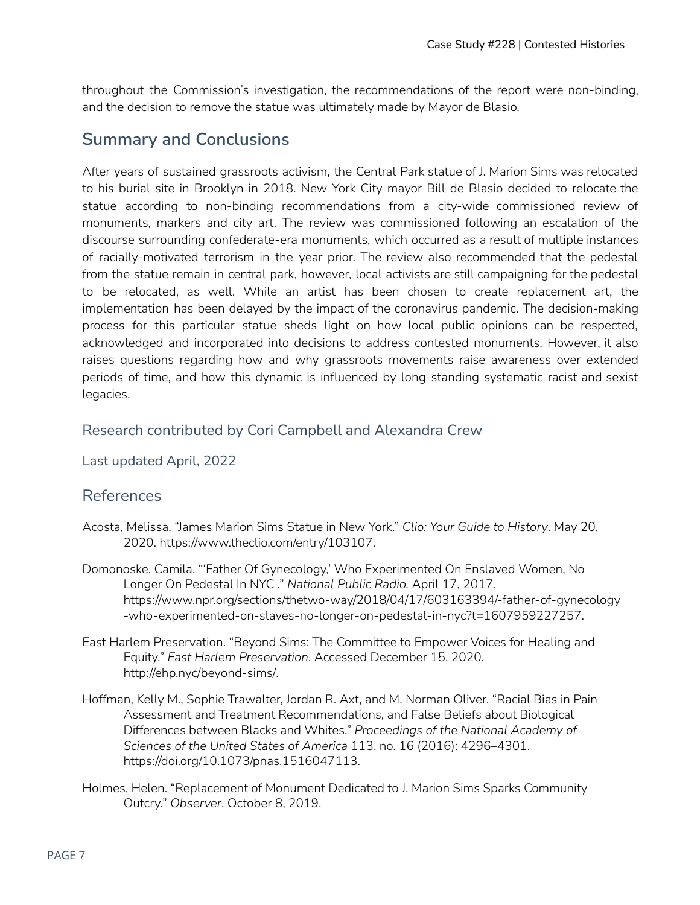throughout the Commission's investigation, the recommendations of the report were non-binding, and the decision to remove the statue was ultimately made by Mayor de Blasio.

# **Summary and Conclusions**

After years of sustained grassroots activism, the Central Park statue of J. Marion Sims was relocated to his burial site in Brooklyn in 2018. New York City mayor Bill de Blasio decided to relocate the statue according to non-binding recommendations from a city-wide commissioned review of monuments, markers and city art. The review was commissioned following an escalation of the discourse surrounding confederate-era monuments, which occurred as a result of multiple instances of racially-motivated terrorism in the year prior. The review also recommended that the pedestal from the statue remain in central park, however, local activists are still campaigning for the pedestal to be relocated, as well. While an artist has been chosen to create replacement art, the implementation has been delayed by the impact of the coronavirus pandemic. The decision-making process for this particular statue sheds light on how local public opinions can be respected, acknowledged and incorporated into decisions to address contested monuments. However, it also raises questions regarding how and why grassroots movements raise awareness over extended periods of time, and how this dynamic is influenced by long-standing systematic racist and sexist legacies.

### Research contributed by Cori Campbell and Alexandra Crew

Last updated April, 2022

### References

- Acosta, Melissa. "James Marion Sims Statue in New York." *Clio: Your Guide to History*. May 20, 2020. <https://www.theclio.com/entry/103107>.
- Domonoske, Camila. "'Father Of Gynecology,' Who Experimented On Enslaved Women, No Longer On Pedestal In NYC ." *National Public Radio.* April 17, 2017. [https://www.npr.org/sections/thetwo-way/2018/04/17/603163394/-father-of-gynecology](https://www.npr.org/sections/thetwo-way/2018/04/17/603163394/-father-of-gynecology-who-experimented-on-slaves-no-longer-on-pedestal-in-nyc?t=1607959227257) [-who-experimented-on-slaves-no-longer-on-pedestal-in-nyc?t=1607959227257.](https://www.npr.org/sections/thetwo-way/2018/04/17/603163394/-father-of-gynecology-who-experimented-on-slaves-no-longer-on-pedestal-in-nyc?t=1607959227257)
- East Harlem Preservation. "Beyond Sims: The Committee to Empower Voices for Healing and Equity." *East Harlem Preservation*. Accessed December 15, 2020. [http://ehp.nyc/beyond-sims/.](http://ehp.nyc/beyond-sims/)
- Hoffman, Kelly M., Sophie Trawalter, Jordan R. Axt, and M. Norman Oliver. "Racial Bias in Pain Assessment and Treatment Recommendations, and False Beliefs about Biological Differences between Blacks and Whites." *Proceedings of the National Academy of Sciences of the United States of America* 113, no. 16 (2016): 4296–4301. [https://doi.org/10.1073/pnas.1516047113.](https://doi.org/10.1073/pnas.1516047113)
- Holmes, Helen. "Replacement of Monument Dedicated to J. Marion Sims Sparks Community Outcry." *Observer*. October 8, 2019.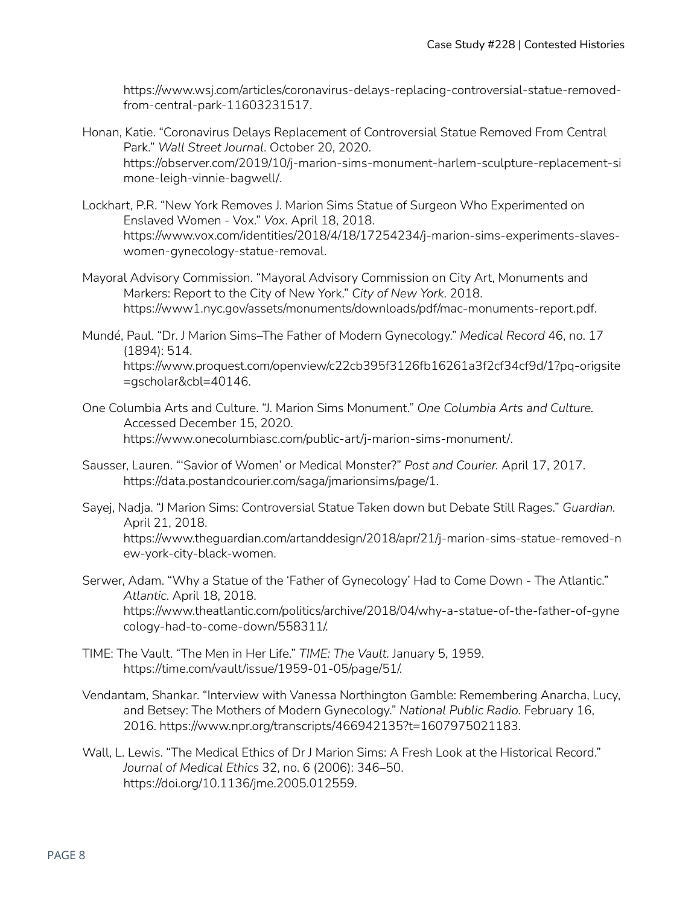[https://www.wsj.com/articles/coronavirus-delays-replacing-controversial-statue-removed](https://www.wsj.com/articles/coronavirus-delays-replacing-controversial-statue-removed-from-central-park-11603231517)[from-central-park-11603231517.](https://www.wsj.com/articles/coronavirus-delays-replacing-controversial-statue-removed-from-central-park-11603231517)

- Honan, Katie. "Coronavirus Delays Replacement of Controversial Statue Removed From Central Park." *Wall Street Journal*. October 20, 2020. [https://observer.com/2019/10/j-marion-sims-monument-harlem-sculpture-replacement-si](https://observer.com/2019/10/j-marion-sims-monument-harlem-sculpture-replacement-simone-leigh-vinnie-bagwell/) [mone-leigh-vinnie-bagwell/](https://observer.com/2019/10/j-marion-sims-monument-harlem-sculpture-replacement-simone-leigh-vinnie-bagwell/).
- Lockhart, P.R. "New York Removes J. Marion Sims Statue of Surgeon Who Experimented on Enslaved Women - Vox." *Vox*. April 18, 2018. https://www.vox.com/identities/2018/4/18/17254234/j-marion-sims-experiments-slaveswomen-gynecology-statue-removal.
- Mayoral Advisory Commission. "Mayoral Advisory Commission on City Art, Monuments and Markers: Report to the City of New York." *City of New York*. 2018. <https://www1.nyc.gov/assets/monuments/downloads/pdf/mac-monuments-report.pdf>.
- Mundé, Paul. "Dr. J Marion Sims–The Father of Modern Gynecology." *Medical Record* 46, no. 17 (1894): 514. [https://www.proquest.com/openview/c22cb395f3126fb16261a3f2cf34cf9d/1?pq-origsite](https://www.proquest.com/openview/c22cb395f3126fb16261a3f2cf34cf9d/1?pq-origsite=gscholar&cbl=40146) [=gscholar&cbl=40146](https://www.proquest.com/openview/c22cb395f3126fb16261a3f2cf34cf9d/1?pq-origsite=gscholar&cbl=40146).
- One Columbia Arts and Culture. "J. Marion Sims Monument." *One Columbia Arts and Culture.* Accessed December 15, 2020. <https://www.onecolumbiasc.com/public-art/j-marion-sims-monument/>.
- Sausser, Lauren. "'Savior of Women' or Medical Monster?" *Post and Courier.* April 17, 2017. https://data.postandcourier.com/saga/jmarionsims/page/1.
- Sayej, Nadja. "J Marion Sims: Controversial Statue Taken down but Debate Still Rages." *Guardian.* April 21, 2018. https://www.theguardian.com/artanddesign/2018/apr/21/j-marion-sims-statue-removed-n ew-york-city-black-women.
- Serwer, Adam. "Why a Statue of the 'Father of Gynecology' Had to Come Down The Atlantic." *Atlantic*. April 18, 2018. https://www.theatlantic.com/politics/archive/2018/04/why-a-statue-of-the-father-of-gyne cology-had-to-come-down/558311/.
- TIME: The Vault. "The Men in Her Life." *TIME: The Vault.* January 5, 1959. https://time.com/vault/issue/1959-01-05/page/51/.
- Vendantam, Shankar. "Interview with Vanessa Northington Gamble: Remembering Anarcha, Lucy, and Betsey: The Mothers of Modern Gynecology." *National Public Radio*. February 16, 2016. https://www.npr.org/transcripts/466942135?t=1607975021183.
- Wall, L. Lewis. "The Medical Ethics of Dr J Marion Sims: A Fresh Look at the Historical Record." *Journal of Medical Ethics* 32, no. 6 (2006): 346–50. https://doi.org/10.1136/jme.2005.012559.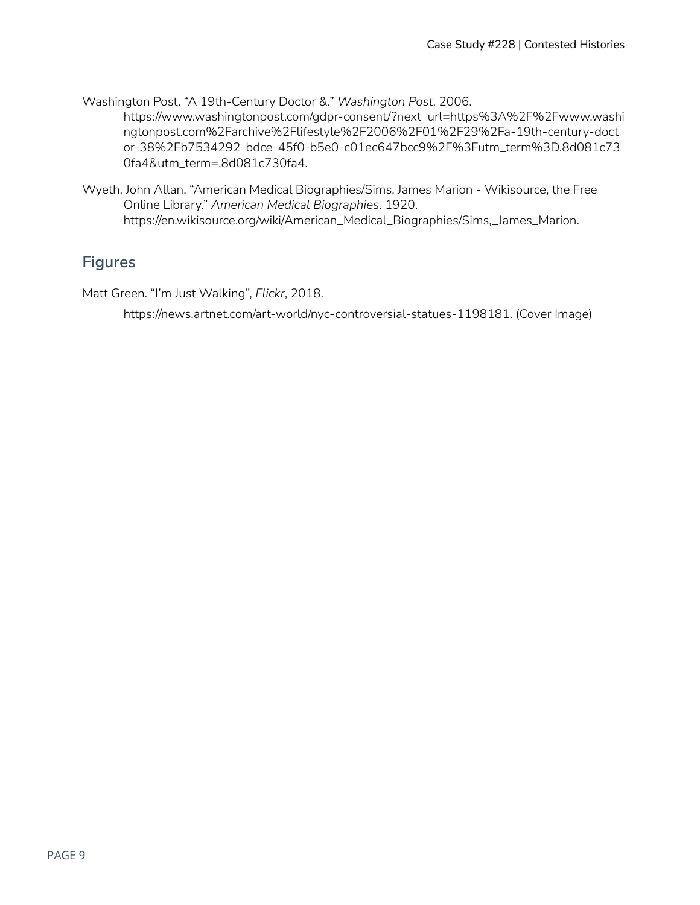Washington Post. "A 19th-Century Doctor &." *Washington Post*. 2006.

[https://www.washingtonpost.com/gdpr-consent/?next\\_url=https%3A%2F%2Fwww.washi](https://www.washingtonpost.com/gdpr-consent/?next_url=https%3A%2F%2Fwww.washingtonpost.com%2Farchive%2Flifestyle%2F2006%2F01%2F29%2Fa-19th-century-doctor-38%2Fb7534292-bdce-45f0-b5e0-c01ec647bcc9%2F%3Futm_term%3D.8d081c730fa4&utm_term=.8d081c730fa4) [ngtonpost.com%2Farchive%2Flifestyle%2F2006%2F01%2F29%2Fa-19th-century-doct](https://www.washingtonpost.com/gdpr-consent/?next_url=https%3A%2F%2Fwww.washingtonpost.com%2Farchive%2Flifestyle%2F2006%2F01%2F29%2Fa-19th-century-doctor-38%2Fb7534292-bdce-45f0-b5e0-c01ec647bcc9%2F%3Futm_term%3D.8d081c730fa4&utm_term=.8d081c730fa4) [or-38%2Fb7534292-bdce-45f0-b5e0-c01ec647bcc9%2F%3Futm\\_term%3D.8d081c73](https://www.washingtonpost.com/gdpr-consent/?next_url=https%3A%2F%2Fwww.washingtonpost.com%2Farchive%2Flifestyle%2F2006%2F01%2F29%2Fa-19th-century-doctor-38%2Fb7534292-bdce-45f0-b5e0-c01ec647bcc9%2F%3Futm_term%3D.8d081c730fa4&utm_term=.8d081c730fa4) [0fa4&utm\\_term=.8d081c730fa4.](https://www.washingtonpost.com/gdpr-consent/?next_url=https%3A%2F%2Fwww.washingtonpost.com%2Farchive%2Flifestyle%2F2006%2F01%2F29%2Fa-19th-century-doctor-38%2Fb7534292-bdce-45f0-b5e0-c01ec647bcc9%2F%3Futm_term%3D.8d081c730fa4&utm_term=.8d081c730fa4)

Wyeth, John Allan. "American Medical Biographies/Sims, James Marion - Wikisource, the Free Online Library." *American Medical Biographies*. 1920. https://en.wikisource.org/wiki/American\_Medical\_Biographies/Sims,\_James\_Marion.

## **Figures**

Matt Green. "I'm Just Walking", *Flickr*, 2018.

https://news.artnet.com/art-world/nyc-controversial-statues-1198181. (Cover Image)